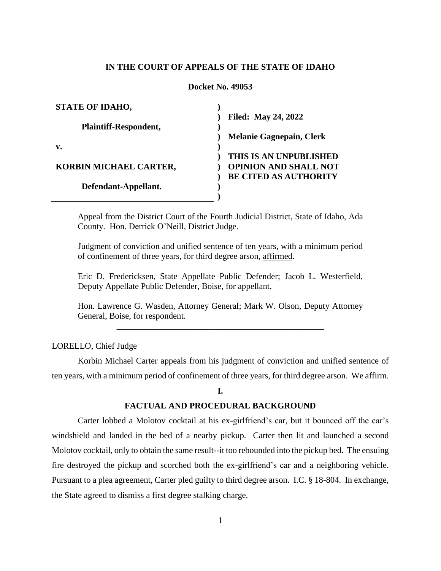# **IN THE COURT OF APPEALS OF THE STATE OF IDAHO**

#### **Docket No. 49053**

| <b>STATE OF IDAHO,</b>       |                                 |
|------------------------------|---------------------------------|
|                              | <b>Filed: May 24, 2022</b>      |
| <b>Plaintiff-Respondent,</b> |                                 |
|                              | <b>Melanie Gagnepain, Clerk</b> |
| v.                           |                                 |
|                              | THIS IS AN UNPUBLISHED          |
| KORBIN MICHAEL CARTER,       | <b>OPINION AND SHALL NOT</b>    |
|                              | <b>BE CITED AS AUTHORITY</b>    |
| Defendant-Appellant.         |                                 |
|                              |                                 |

Appeal from the District Court of the Fourth Judicial District, State of Idaho, Ada County. Hon. Derrick O'Neill, District Judge.

Judgment of conviction and unified sentence of ten years, with a minimum period of confinement of three years, for third degree arson, affirmed.

Eric D. Fredericksen, State Appellate Public Defender; Jacob L. Westerfield, Deputy Appellate Public Defender, Boise, for appellant.

Hon. Lawrence G. Wasden, Attorney General; Mark W. Olson, Deputy Attorney General, Boise, for respondent.

\_\_\_\_\_\_\_\_\_\_\_\_\_\_\_\_\_\_\_\_\_\_\_\_\_\_\_\_\_\_\_\_\_\_\_\_\_\_\_\_\_\_\_\_\_\_\_\_

# LORELLO, Chief Judge

Korbin Michael Carter appeals from his judgment of conviction and unified sentence of ten years, with a minimum period of confinement of three years, for third degree arson. We affirm.

#### **I.**

## **FACTUAL AND PROCEDURAL BACKGROUND**

Carter lobbed a Molotov cocktail at his ex-girlfriend's car, but it bounced off the car's windshield and landed in the bed of a nearby pickup. Carter then lit and launched a second Molotov cocktail, only to obtain the same result--it too rebounded into the pickup bed. The ensuing fire destroyed the pickup and scorched both the ex-girlfriend's car and a neighboring vehicle. Pursuant to a plea agreement, Carter pled guilty to third degree arson. I.C. § 18-804. In exchange, the State agreed to dismiss a first degree stalking charge.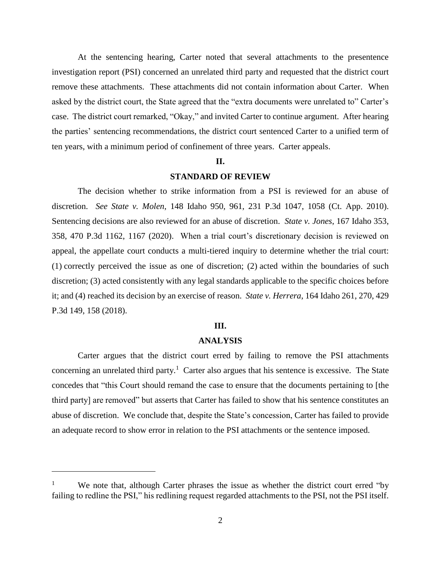At the sentencing hearing, Carter noted that several attachments to the presentence investigation report (PSI) concerned an unrelated third party and requested that the district court remove these attachments. These attachments did not contain information about Carter. When asked by the district court, the State agreed that the "extra documents were unrelated to" Carter's case. The district court remarked, "Okay," and invited Carter to continue argument. After hearing the parties' sentencing recommendations, the district court sentenced Carter to a unified term of ten years, with a minimum period of confinement of three years. Carter appeals.

#### **II.**

# **STANDARD OF REVIEW**

The decision whether to strike information from a PSI is reviewed for an abuse of discretion. *See State v. Molen*, 148 Idaho 950, 961, 231 P.3d 1047, 1058 (Ct. App. 2010). Sentencing decisions are also reviewed for an abuse of discretion. *State v. Jones*, 167 Idaho 353, 358, 470 P.3d 1162, 1167 (2020). When a trial court's discretionary decision is reviewed on appeal, the appellate court conducts a multi-tiered inquiry to determine whether the trial court: (1) correctly perceived the issue as one of discretion; (2) acted within the boundaries of such discretion; (3) acted consistently with any legal standards applicable to the specific choices before it; and (4) reached its decision by an exercise of reason. *State v. Herrera*, 164 Idaho 261, 270, 429 P.3d 149, 158 (2018).

# **III.**

#### **ANALYSIS**

Carter argues that the district court erred by failing to remove the PSI attachments concerning an unrelated third party.<sup>1</sup> Carter also argues that his sentence is excessive. The State concedes that "this Court should remand the case to ensure that the documents pertaining to [the third party] are removed" but asserts that Carter has failed to show that his sentence constitutes an abuse of discretion. We conclude that, despite the State's concession, Carter has failed to provide an adequate record to show error in relation to the PSI attachments or the sentence imposed.

 $\overline{a}$ 

We note that, although Carter phrases the issue as whether the district court erred "by failing to redline the PSI," his redlining request regarded attachments to the PSI, not the PSI itself.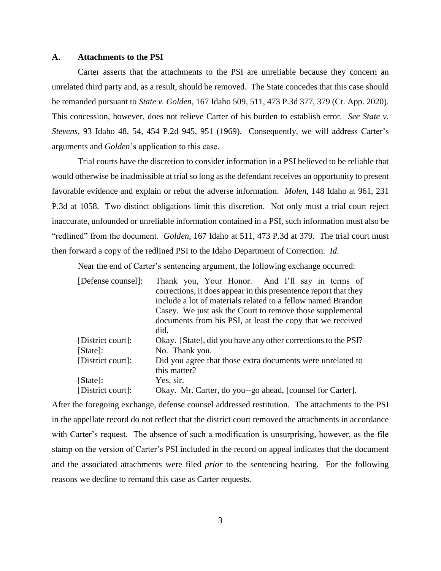#### **A. Attachments to the PSI**

Carter asserts that the attachments to the PSI are unreliable because they concern an unrelated third party and, as a result, should be removed. The State concedes that this case should be remanded pursuant to *State v. Golden*, 167 Idaho 509, 511, 473 P.3d 377, 379 (Ct. App. 2020). This concession, however, does not relieve Carter of his burden to establish error. *See State v. Stevens*, 93 Idaho 48, 54, 454 P.2d 945, 951 (1969). Consequently, we will address Carter's arguments and *Golden*'s application to this case.

Trial courts have the discretion to consider information in a PSI believed to be reliable that would otherwise be inadmissible at trial so long as the defendant receives an opportunity to present favorable evidence and explain or rebut the adverse information. *Molen*, 148 Idaho at 961, 231 P.3d at 1058. Two distinct obligations limit this discretion. Not only must a trial court reject inaccurate, unfounded or unreliable information contained in a PSI, such information must also be "redlined" from the document. *Golden*, 167 Idaho at 511, 473 P.3d at 379. The trial court must then forward a copy of the redlined PSI to the Idaho Department of Correction. *Id.*

Near the end of Carter's sentencing argument, the following exchange occurred:

| [Defense counsel]: | Thank you, Your Honor. And I'll say in terms of                  |
|--------------------|------------------------------------------------------------------|
|                    | corrections, it does appear in this presentence report that they |
|                    | include a lot of materials related to a fellow named Brandon     |
|                    | Casey. We just ask the Court to remove those supplemental        |
|                    | documents from his PSI, at least the copy that we received       |
|                    | did.                                                             |
| [District court]:  | Okay. [State], did you have any other corrections to the PSI?    |
| [State]:           | No. Thank you.                                                   |
| [District court]:  | Did you agree that those extra documents were unrelated to       |
|                    | this matter?                                                     |
| [State]:           | Yes, sir.                                                        |
| [District court]:  | Okay. Mr. Carter, do you--go ahead, [counsel for Carter].        |

After the foregoing exchange, defense counsel addressed restitution. The attachments to the PSI in the appellate record do not reflect that the district court removed the attachments in accordance with Carter's request. The absence of such a modification is unsurprising, however, as the file stamp on the version of Carter's PSI included in the record on appeal indicates that the document and the associated attachments were filed *prior* to the sentencing hearing. For the following reasons we decline to remand this case as Carter requests.

3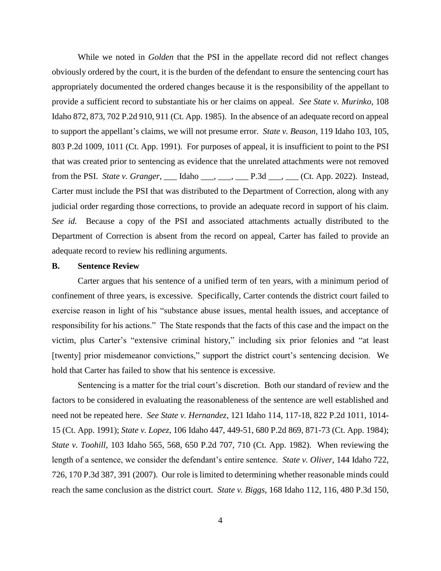While we noted in *Golden* that the PSI in the appellate record did not reflect changes obviously ordered by the court, it is the burden of the defendant to ensure the sentencing court has appropriately documented the ordered changes because it is the responsibility of the appellant to provide a sufficient record to substantiate his or her claims on appeal. *See State v. Murinko*, 108 Idaho 872, 873, 702 P.2d 910, 911 (Ct. App. 1985). In the absence of an adequate record on appeal to support the appellant's claims, we will not presume error. *State v. Beason*, 119 Idaho 103, 105, 803 P.2d 1009, 1011 (Ct. App. 1991). For purposes of appeal, it is insufficient to point to the PSI that was created prior to sentencing as evidence that the unrelated attachments were not removed from the PSI. *State v. Granger*, \_\_\_ Idaho \_\_\_, \_\_\_, \_\_\_ P.3d \_\_\_, \_\_\_ (Ct. App. 2022). Instead, Carter must include the PSI that was distributed to the Department of Correction, along with any judicial order regarding those corrections, to provide an adequate record in support of his claim. *See id.* Because a copy of the PSI and associated attachments actually distributed to the Department of Correction is absent from the record on appeal, Carter has failed to provide an adequate record to review his redlining arguments.

# **B. Sentence Review**

Carter argues that his sentence of a unified term of ten years, with a minimum period of confinement of three years, is excessive. Specifically, Carter contends the district court failed to exercise reason in light of his "substance abuse issues, mental health issues, and acceptance of responsibility for his actions." The State responds that the facts of this case and the impact on the victim, plus Carter's "extensive criminal history," including six prior felonies and "at least [twenty] prior misdemeanor convictions," support the district court's sentencing decision. We hold that Carter has failed to show that his sentence is excessive.

Sentencing is a matter for the trial court's discretion. Both our standard of review and the factors to be considered in evaluating the reasonableness of the sentence are well established and need not be repeated here. *See State v. Hernandez*, 121 Idaho 114, 117-18, 822 P.2d 1011, 1014- 15 (Ct. App. 1991); *State v. Lopez*, 106 Idaho 447, 449-51, 680 P.2d 869, 871-73 (Ct. App. 1984); *State v. Toohill*, 103 Idaho 565, 568, 650 P.2d 707, 710 (Ct. App. 1982). When reviewing the length of a sentence, we consider the defendant's entire sentence. *State v. Oliver*, 144 Idaho 722, 726, 170 P.3d 387, 391 (2007). Our role is limited to determining whether reasonable minds could reach the same conclusion as the district court. *State v. Biggs*, 168 Idaho 112, 116, 480 P.3d 150,